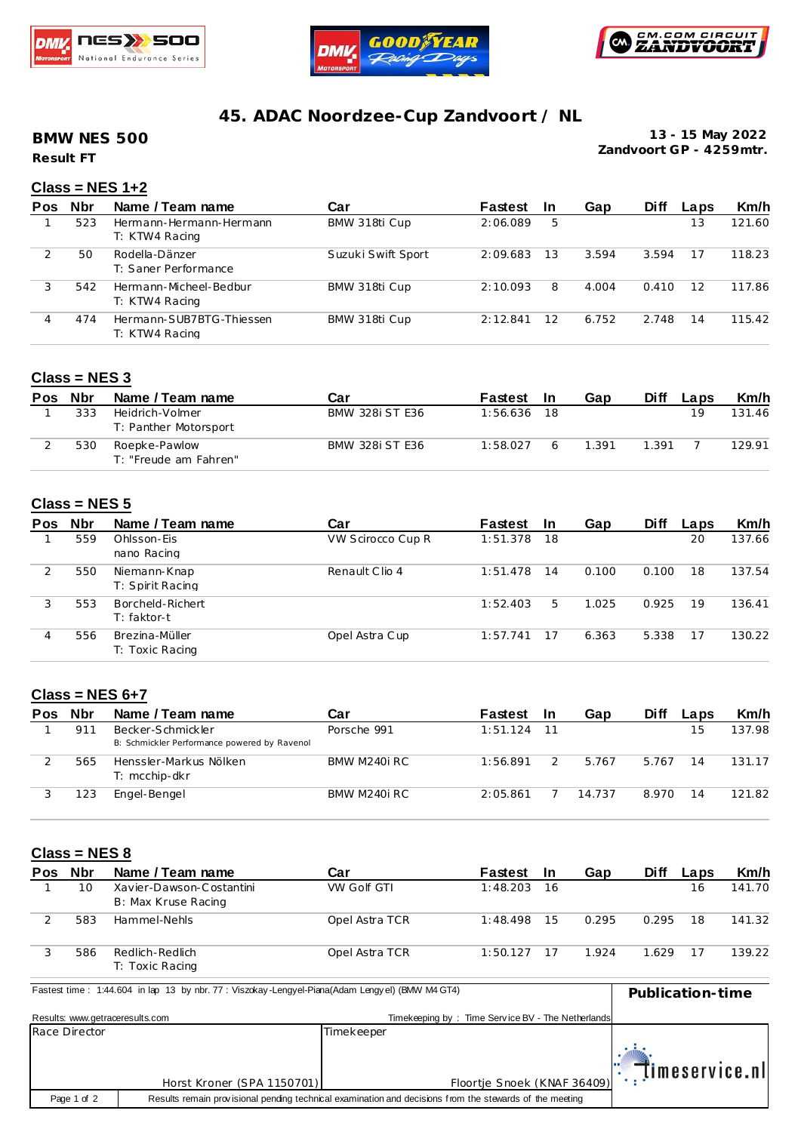





# **45. ADAC Noordzee-Cup Zandvoort / NL**

**Result FT BMW NES 500**

**13 - 15 May 2022 Zandvoort GP - 4259mtr.**

## **Class = NES 1+2**

| Pos | <b>Nbr</b> | Name / Team name                           | Car                | Fastest  | <b>In</b> | Gap   | Di ff | Laps | Km/h   |
|-----|------------|--------------------------------------------|--------------------|----------|-----------|-------|-------|------|--------|
|     | 523        | Hermann-Hermann-Hermann<br>T: KTW4 Racing  | BMW 318ti Cup      | 2:06.089 | 5         |       |       | 13   | 121.60 |
|     | 50         | Rodella-Dänzer<br>T: Saner Performance     | Suzuki Swift Sport | 2:09.683 | 13        | 3.594 | 3.594 | 17   | 118.23 |
| 3   | 542        | Hermann-Micheel-Bedbur<br>T: KTW4 Racing   | BMW 318ti Cup      | 2:10.093 | 8         | 4.004 | 0.410 | 12   | 117.86 |
| 4   | 474        | Hermann-SUB7BTG-Thiessen<br>T: KTW4 Racing | BMW 318ti Cup      | 2:12.841 | 12        | 6.752 | 2.748 | 14   | 115.42 |

### **Class = NES 3**

| Pos | Nbr | Name / Team name                         | Car             | Fastest  | - In | Gap   | Di ff | Laps | Km/h   |
|-----|-----|------------------------------------------|-----------------|----------|------|-------|-------|------|--------|
|     | 333 | Heidrich-Volmer<br>T: Panther Motorsport | BMW 328i ST E36 | 1:56.636 | - 18 |       |       | 19   | 131.46 |
|     | 530 | Roepke-Pawlow<br>T: "Freude am Fahren"   | BMW 328i ST E36 | 1:58.027 |      | 1.391 | 1.391 |      | 129.91 |

### **Class = NES 5**

| <b>Pos</b> | <b>Nbr</b> | Name / Team name                  | Car               | Fastest  | -In | Gap   | <b>Diff</b> | Laps | Km/h   |
|------------|------------|-----------------------------------|-------------------|----------|-----|-------|-------------|------|--------|
|            | 559        | Ohlsson-Eis<br>nano Racing        | VW Scirocco Cup R | 1:51.378 | 18  |       |             | 20   | 137.66 |
|            | 550        | Niemann-Knap<br>T: Spirit Racing  | Renault Clio 4    | 1:51.478 | 14  | 0.100 | 0.100       | 18   | 137.54 |
|            | 553        | Borcheld-Richert<br>$T: faktor-t$ |                   | 1:52.403 | 5.  | 1.025 | 0.925       | 19   | 136.41 |
|            | 556        | Brezina-Müller<br>T: Toxic Racing | Opel Astra Cup    | 1:57.741 | 17  | 6.363 | 5.338       | 17   | 130.22 |

### **Class = NES 6+7**

| Pos | Nbr | Name / Team name                                                  | Car          | Fastest  | -In | Gap    | Di ff | Laps | Km/h   |
|-----|-----|-------------------------------------------------------------------|--------------|----------|-----|--------|-------|------|--------|
|     | 911 | Becker-Schmickler<br>B: Schmickler Performance powered by Ravenol | Porsche 991  | 1:51.124 | -11 |        |       | 15   | 137.98 |
|     | 565 | Henssler-Markus Nölken<br>T: mcchip-dkr                           | BMW M240i RC | 1:56.891 |     | 5.767  | 5.767 | 14   | 131.17 |
|     | 23  | Engel-Bengel                                                      | BMW M240i RC | 2:05.861 |     | 14.737 | 8.970 | 14   | 121.82 |

#### **Class = NES 8**

| Pos | <b>Nbr</b> | Name / Team name                                | Car                | Fastest  | - In | Gap   | Di ff | Laps | Km/h   |
|-----|------------|-------------------------------------------------|--------------------|----------|------|-------|-------|------|--------|
|     | 10         | Xavier-Dawson-Costantini<br>B: Max Kruse Racing | <b>VW Golf GTI</b> | 1:48.203 | -16  |       |       | 16   | 141.70 |
|     | 583        | Hammel-Nehls                                    | Opel Astra TCR     | 1:48.498 | 15   | 0.295 | 0.295 | 18   | 141.32 |
|     | 586        | Redlich-Redlich<br>T: Toxic Racing              | Opel Astra TCR     | 1:50.127 |      | 1.924 | 1.629 |      | 139.22 |

**Pastest time : 1:44.604 in lap 13 by nbr. 77 : Viszokay -Lengyel-Piana(Adam Lengyel) (BMW M4 GT4) Publication-time** 

| Results: www.getraceresults.com |                            | Timekeeping by: Time Service BV - The Netherlands                                                       |                |
|---------------------------------|----------------------------|---------------------------------------------------------------------------------------------------------|----------------|
| Race Director                   |                            | Timekeeper                                                                                              |                |
|                                 | Horst Kroner (SPA 1150701) | Floortje Snoek (KNAF 36409)                                                                             | timeservice.nl |
| Page 1 of 2                     |                            | Results remain provisional pending technical examination and decisions from the stewards of the meeting |                |